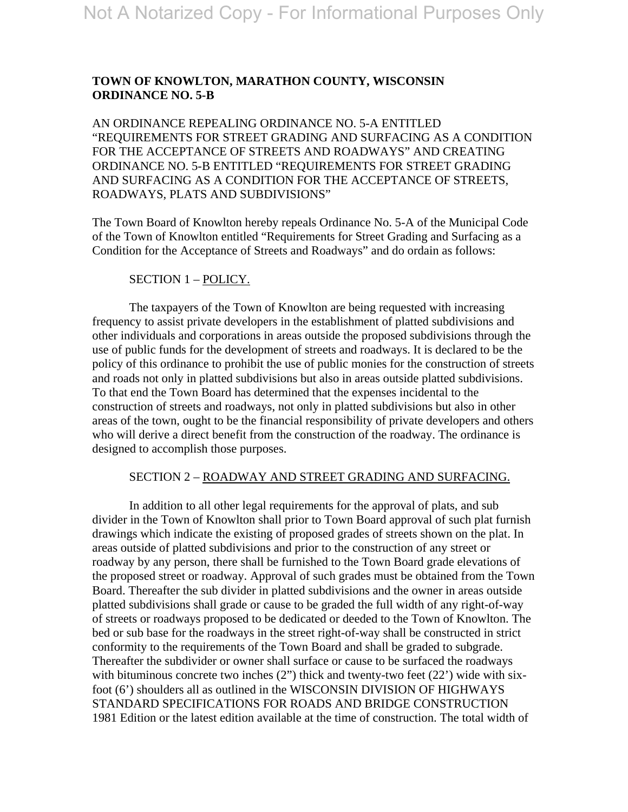# **TOWN OF KNOWLTON, MARATHON COUNTY, WISCONSIN ORDINANCE NO. 5-B**

AN ORDINANCE REPEALING ORDINANCE NO. 5-A ENTITLED "REQUIREMENTS FOR STREET GRADING AND SURFACING AS A CONDITION FOR THE ACCEPTANCE OF STREETS AND ROADWAYS" AND CREATING ORDINANCE NO. 5-B ENTITLED "REQUIREMENTS FOR STREET GRADING AND SURFACING AS A CONDITION FOR THE ACCEPTANCE OF STREETS, ROADWAYS, PLATS AND SUBDIVISIONS"

The Town Board of Knowlton hereby repeals Ordinance No. 5-A of the Municipal Code of the Town of Knowlton entitled "Requirements for Street Grading and Surfacing as a Condition for the Acceptance of Streets and Roadways" and do ordain as follows:

### SECTION 1 – POLICY.

 The taxpayers of the Town of Knowlton are being requested with increasing frequency to assist private developers in the establishment of platted subdivisions and other individuals and corporations in areas outside the proposed subdivisions through the use of public funds for the development of streets and roadways. It is declared to be the policy of this ordinance to prohibit the use of public monies for the construction of streets and roads not only in platted subdivisions but also in areas outside platted subdivisions. To that end the Town Board has determined that the expenses incidental to the construction of streets and roadways, not only in platted subdivisions but also in other areas of the town, ought to be the financial responsibility of private developers and others who will derive a direct benefit from the construction of the roadway. The ordinance is designed to accomplish those purposes.

#### SECTION 2 – ROADWAY AND STREET GRADING AND SURFACING.

 In addition to all other legal requirements for the approval of plats, and sub divider in the Town of Knowlton shall prior to Town Board approval of such plat furnish drawings which indicate the existing of proposed grades of streets shown on the plat. In areas outside of platted subdivisions and prior to the construction of any street or roadway by any person, there shall be furnished to the Town Board grade elevations of the proposed street or roadway. Approval of such grades must be obtained from the Town Board. Thereafter the sub divider in platted subdivisions and the owner in areas outside platted subdivisions shall grade or cause to be graded the full width of any right-of-way of streets or roadways proposed to be dedicated or deeded to the Town of Knowlton. The bed or sub base for the roadways in the street right-of-way shall be constructed in strict conformity to the requirements of the Town Board and shall be graded to subgrade. Thereafter the subdivider or owner shall surface or cause to be surfaced the roadways with bituminous concrete two inches (2") thick and twenty-two feet (22') wide with sixfoot (6') shoulders all as outlined in the WISCONSIN DIVISION OF HIGHWAYS STANDARD SPECIFICATIONS FOR ROADS AND BRIDGE CONSTRUCTION 1981 Edition or the latest edition available at the time of construction. The total width of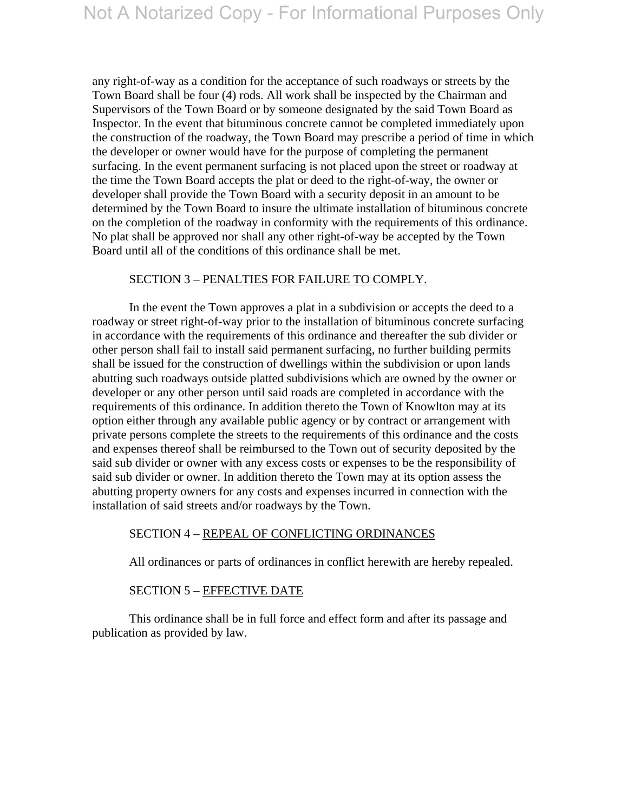any right-of-way as a condition for the acceptance of such roadways or streets by the Town Board shall be four (4) rods. All work shall be inspected by the Chairman and Supervisors of the Town Board or by someone designated by the said Town Board as Inspector. In the event that bituminous concrete cannot be completed immediately upon the construction of the roadway, the Town Board may prescribe a period of time in which the developer or owner would have for the purpose of completing the permanent surfacing. In the event permanent surfacing is not placed upon the street or roadway at the time the Town Board accepts the plat or deed to the right-of-way, the owner or developer shall provide the Town Board with a security deposit in an amount to be determined by the Town Board to insure the ultimate installation of bituminous concrete on the completion of the roadway in conformity with the requirements of this ordinance. No plat shall be approved nor shall any other right-of-way be accepted by the Town Board until all of the conditions of this ordinance shall be met.

#### SECTION 3 – PENALTIES FOR FAILURE TO COMPLY.

 In the event the Town approves a plat in a subdivision or accepts the deed to a roadway or street right-of-way prior to the installation of bituminous concrete surfacing in accordance with the requirements of this ordinance and thereafter the sub divider or other person shall fail to install said permanent surfacing, no further building permits shall be issued for the construction of dwellings within the subdivision or upon lands abutting such roadways outside platted subdivisions which are owned by the owner or developer or any other person until said roads are completed in accordance with the requirements of this ordinance. In addition thereto the Town of Knowlton may at its option either through any available public agency or by contract or arrangement with private persons complete the streets to the requirements of this ordinance and the costs and expenses thereof shall be reimbursed to the Town out of security deposited by the said sub divider or owner with any excess costs or expenses to be the responsibility of said sub divider or owner. In addition thereto the Town may at its option assess the abutting property owners for any costs and expenses incurred in connection with the installation of said streets and/or roadways by the Town.

#### SECTION 4 – REPEAL OF CONFLICTING ORDINANCES

All ordinances or parts of ordinances in conflict herewith are hereby repealed.

#### SECTION 5 – EFFECTIVE DATE

 This ordinance shall be in full force and effect form and after its passage and publication as provided by law.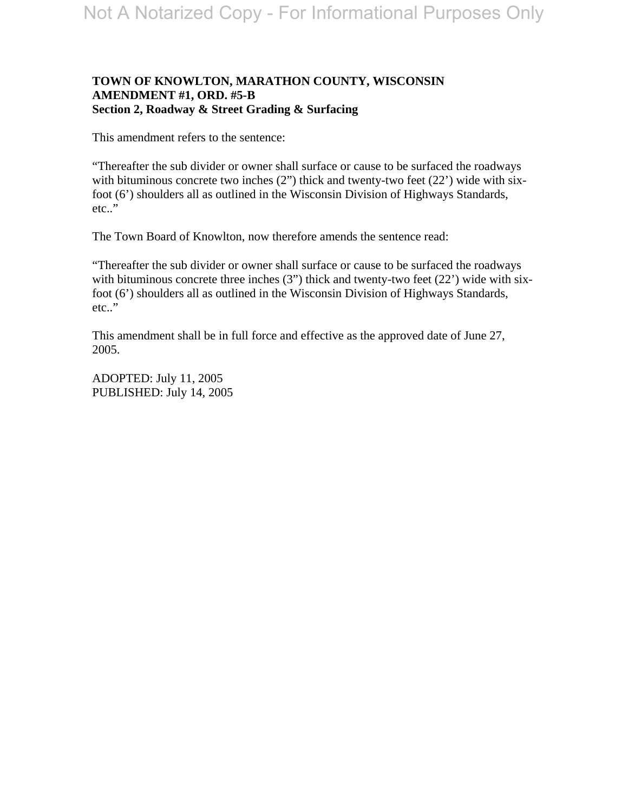### **TOWN OF KNOWLTON, MARATHON COUNTY, WISCONSIN AMENDMENT #1, ORD. #5-B Section 2, Roadway & Street Grading & Surfacing**

This amendment refers to the sentence:

"Thereafter the sub divider or owner shall surface or cause to be surfaced the roadways with bituminous concrete two inches (2") thick and twenty-two feet (22') wide with sixfoot (6') shoulders all as outlined in the Wisconsin Division of Highways Standards, etc.."

The Town Board of Knowlton, now therefore amends the sentence read:

"Thereafter the sub divider or owner shall surface or cause to be surfaced the roadways with bituminous concrete three inches (3") thick and twenty-two feet (22') wide with sixfoot (6') shoulders all as outlined in the Wisconsin Division of Highways Standards, etc.."

This amendment shall be in full force and effective as the approved date of June 27, 2005.

ADOPTED: July 11, 2005 PUBLISHED: July 14, 2005